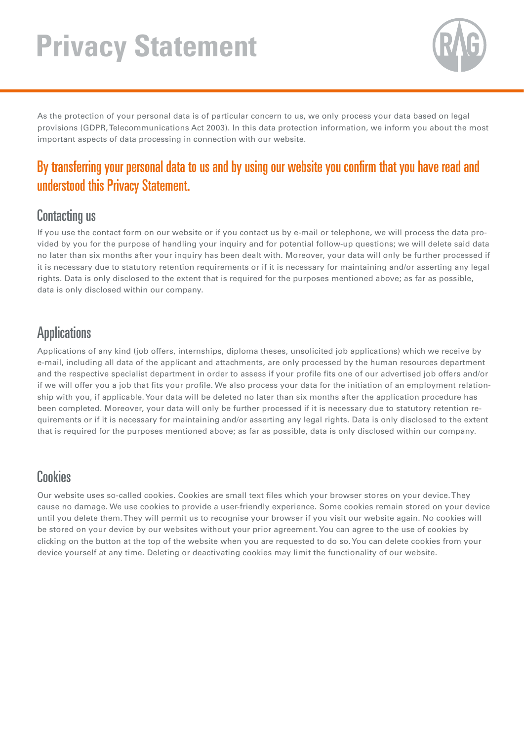# **Privacy Statement**



As the protection of your personal data is of particular concern to us, we only process your data based on legal provisions (GDPR, Telecommunications Act 2003). In this data protection information, we inform you about the most important aspects of data processing in connection with our website.

#### By transferring your personal data to us and by using our website you confirm that you have read and Sie, dass sie diese Datenschutzerklärung gelesen und verstanden haben. understood this Privacy Statement.

#### **Contacting us**

If you use the contact form on our website or if you contact us by e-mail or telephone, we will process the data provided by you for the purpose of handling your inquiry and for potential follow-up questions; we will delete said data no later than six months after your inquiry has been dealt with. Moreover, your data will only be further processed if it is necessary due to statutory retention requirements or if it is necessary for maintaining and/or asserting any legal rights. Data is only disclosed to the extent that is required for the purposes mentioned above; as far as possible, data is only disclosed within our company.

#### Applications

Applications of any kind (job offers, internships, diploma theses, unsolicited job applications) which we receive by e-mail, including all data of the applicant and attachments, are only processed by the human resources department and the respective specialist department in order to assess if your profile fits one of our advertised job offers and/or if we will offer you a job that fits your profile. We also process your data for the initiation of an employment relationship with you, if applicable. Your data will be deleted no later than six months after the application procedure has been completed. Moreover, your data will only be further processed if it is necessary due to statutory retention requirements or if it is necessary for maintaining and/or asserting any legal rights. Data is only disclosed to the extent that is required for the purposes mentioned above; as far as possible, data is only disclosed within our company.

#### Cookies Cookies

Our website uses so-called cookies. Cookies are small text files which your browser stores on your device. They cause no damage. We use cookies to provide a user-friendly experience. Some cookies remain stored on your device until you delete them. They will permit us to recognise your browser if you visit our website again. No cookies will be stored on your device by our websites without your prior agreement. You can agree to the use of cookies by clicking on the button at the top of the website when you are requested to do so. You can delete cookies from your device yourself at any time. Deleting or deactivating cookies may limit the functionality of our website.